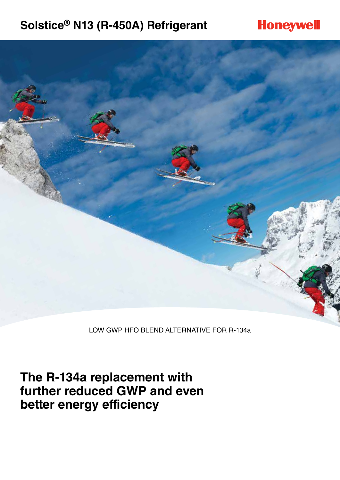## **Solstice® N13 (R-450A) Refrigerant**





LOW GWP HFO BLEND ALTERNATIVE FOR R-134a

**The R-134a replacement with further reduced GWP and even better energy efficiency**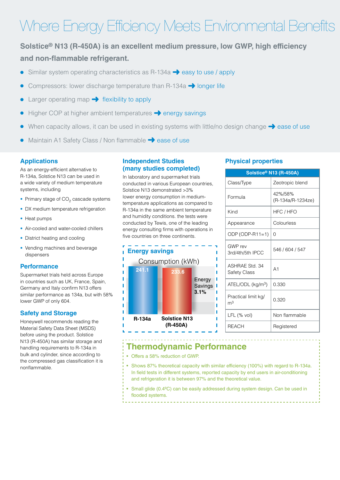# Where Energy Efficiency Meets Environmental Benefits

### **Solstice® N13 (R-450A) is an excellent medium pressure, low GWP, high efficiency and non-flammable refrigerant.**

- Similar system operating characteristics as R-134a  $\rightarrow$  easy to use / apply
- Compressors: lower discharge temperature than R-134a  $\rightarrow$  longer life
- Larger operating map  $\rightarrow$  flexibility to apply
- Higher COP at higher ambient temperatures  $\rightarrow$  energy savings
- When capacity allows, it can be used in existing systems with little/no design change  $\rightarrow$  ease of use
- Maintain A1 Safety Class / Non flammable → ease of use

### **Applications**

As an energy-efficient alternative to R-134a, Solstice N13 can be used in a wide variety of medium temperature systems, including

- Primary stage of  $CO<sub>2</sub>$  cascade systems
- DX medium temperature refrigeration
- Heat pumps
- Air-cooled and water-cooled chillers
- District heating and cooling
- Vending machines and beverage dispensers

#### **Performance**

Supermarket trials held across Europe in countries such as UK, France, Spain, Germany and Italy confirm N13 offers similar performance as 134a, but with 58% lower GWP of only 604.

#### **Safety and Storage**

Honeywell recommends reading the Material Safety Data Sheet (MSDS) before using the product. Solstice N13 (R-450A) has similar storage and handling requirements to R-134a in bulk and cylinder, since according to the compressed gas classification it is nonflammable.

### **Independent Studies (many studies completed)**

In laboratory and supermarket trials conducted in various European countries, Solstice N13 demonstrated >3% lower energy consumption in mediumtemperature applications as compared to R-134a in the same ambient temperature and humidity conditions. the tests were conducted by Tewis, one of the leading energy consulting firms with operations in five countries on three continents.



#### **Physical properties**

| Solstice <sup>®</sup> N13 (R-450A)    |                              |  |
|---------------------------------------|------------------------------|--|
| Class/Type                            | Zeotropic blend              |  |
| Formula                               | 42%/58%<br>(R-134a/R-1234ze) |  |
| Kind                                  | <b>HFC / HFO</b>             |  |
| Appearance                            | Colourless                   |  |
| ODP (ODP-R11=1)                       | O                            |  |
| GWP rev<br>3rd/4th/5th IPCC           | 546 / 604 / 547              |  |
| ASHRAF Std 34<br><b>Safety Class</b>  | A <sub>1</sub>               |  |
| $ATEL/ODL$ (kg/m <sup>3</sup> )       | 0.330                        |  |
| Practical limit kg/<br>m <sup>3</sup> | 0 320                        |  |
| $LFL$ (% vol)                         | Non flammable                |  |
| <b>REACH</b>                          | Registered                   |  |

### **Thermodynamic Performance**

- Offers a 58% reduction of GWP.
- Shows 87% theoretical capacity with similar efficiency (100%) with regard to R-134a. In field tests in different systems, reported capacity by end users in air-conditioning and refrigeration it is between 97% and the theoretical value.
- Small glide (0.4°C) can be easily addressed during system design. Can be used in flooded systems.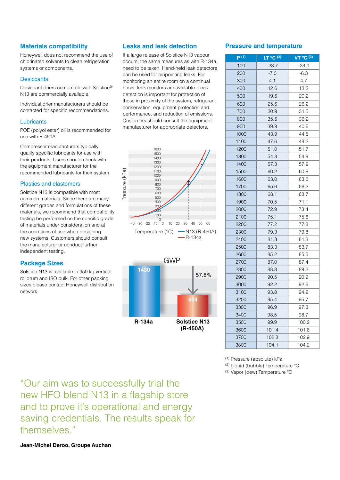#### **Materials compatibility**

Honeywell does not recommend the use of chlorinated solvents to clean refrigeration systems or components.

#### **Desiccants**

Desiccant driers compatible with Solstice® N13 are commercially available.

Individual drier manufacturers should be contacted for specific recommendations.

#### **Lubricants**

POE (polyol ester) oil is recommended for use with R-450A.

Compressor manufacturers typically qualify specific lubricants for use with their products. Users should check with the equipment manufacturer for the recommended lubricants for their system.

#### Plastics and elastomers

Solstice N13 is compatible with most common materials. Since there are many different grades and formulations of these materials, we recommend that compatibility testing be performed on the specific grade of materials under consideration and at the conditions of use when designing new systems. Customers should consult the manufacturer or conduct further independent testing.

#### **Package Sizes**

Solstice N13 is available in 950 kg vertical rolldrum and ISO bulk. For other packing sizes please contact Honeywell distribution network.

#### **Leaks and leak detection**

If a large release of Solstice N13 vapour occurs, the same measures as with R-134a need to be taken. Hand-held leak detectors can be used for pinpointing leaks. For monitoring an entire room on a continual basis, leak monitors are available. Leak detection is important for protection of those in proximity of the system, refrigerant conservation, equipment protection and performance, and reduction of emissions. Customers should consult the equipment manufacturer for appropriate detectors.





#### **Pressure and temperature**

| P(1) | $LT$ °C $(2)$ | VT °C (3) |
|------|---------------|-----------|
| 100  | $-23.7$       | $-23.0$   |
| 200  | $-7.0$        | $-6.3$    |
| 300  | 4.1           | 4.7       |
| 400  | 12.6          | 13.2      |
| 500  | 19.6          | 20.2      |
| 600  | 25.6          | 26.2      |
| 700  | 30.9          | 31.5      |
| 800  | 35.6          | 36.2      |
| 900  | 39.9          | 40.6      |
| 1000 | 43.9          | 44.5      |
| 1100 | 47.6          | 48.2      |
| 1200 | 51.0          | 51.7      |
| 1300 | 54.3          | 54.9      |
| 1400 | 57.3          | 57.9      |
| 1500 | 60.2          | 60.8      |
| 1600 | 63.0          | 63.6      |
| 1700 | 65.6          | 66.2      |
| 1800 | 68.1          | 68.7      |
| 1900 | 70.5          | 71.1      |
| 2000 | 72.9          | 73.4      |
| 2100 | 75.1          | 75.6      |
| 2200 | 77.2          | 77.8      |
| 2300 | 79.3          | 79.8      |
| 2400 | 81.3          | 81.8      |
| 2500 | 83.3          | 83.7      |
| 2600 | 85.2          | 85.6      |
| 2700 | 87.0          | 87.4      |
| 2800 | 88.8          | 89.2      |
| 2900 | 90.5          | 90.9      |
| 3000 | 92.2          | 92.6      |
| 3100 | 93.8          | 94.2      |
| 3200 | 95.4          | 95.7      |
| 3300 | 96.9          | 97.3      |
| 3400 | 98.5          | 98.7      |
| 3500 | 99.9          | 100.2     |
| 3600 | 101.4         | 101.6     |
| 3700 | 102.8         | 102.9     |
| 3800 | 104.1         | 104.2     |

(1) Pressure (absolute) kPa

(2) Liquid (bubble) Temperature ºC

(3) Vapor (dew) Temperature ºC

"Our aim was to successfully trial the new HFO blend N13 in a flagship store and to prove it's operational and energy saving credentials. The results speak for themselves."

**Jean-Michel Deroo, Groupe Auchan**